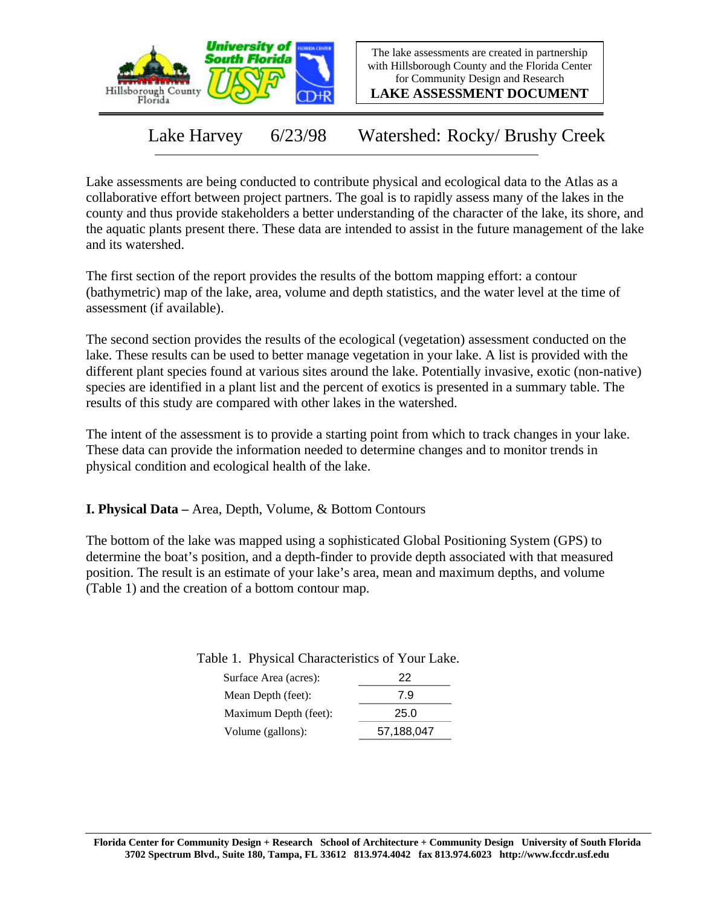

The lake assessments are created in partnership with Hillsborough County and the Florida Center for Community Design and Research

**LAKE ASSESSMENT DOCUMENT**

Lake Harvey 6/23/98 Watershed: Rocky/ Brushy Creek

Lake assessments are being conducted to contribute physical and ecological data to the Atlas as a collaborative effort between project partners. The goal is to rapidly assess many of the lakes in the county and thus provide stakeholders a better understanding of the character of the lake, its shore, and the aquatic plants present there. These data are intended to assist in the future management of the lake and its watershed.

The first section of the report provides the results of the bottom mapping effort: a contour (bathymetric) map of the lake, area, volume and depth statistics, and the water level at the time of assessment (if available).

The second section provides the results of the ecological (vegetation) assessment conducted on the lake. These results can be used to better manage vegetation in your lake. A list is provided with the different plant species found at various sites around the lake. Potentially invasive, exotic (non-native) species are identified in a plant list and the percent of exotics is presented in a summary table. The results of this study are compared with other lakes in the watershed.

The intent of the assessment is to provide a starting point from which to track changes in your lake. These data can provide the information needed to determine changes and to monitor trends in physical condition and ecological health of the lake.

**I. Physical Data –** Area, Depth, Volume, & Bottom Contours

The bottom of the lake was mapped using a sophisticated Global Positioning System (GPS) to determine the boat's position, and a depth-finder to provide depth associated with that measured position. The result is an estimate of your lake's area, mean and maximum depths, and volume (Table 1) and the creation of a bottom contour map.

Table 1. Physical Characteristics of Your Lake.

| Surface Area (acres): | 22         |
|-----------------------|------------|
| Mean Depth (feet):    | 7.9        |
| Maximum Depth (feet): | 25.0       |
| Volume (gallons):     | 57,188,047 |
|                       |            |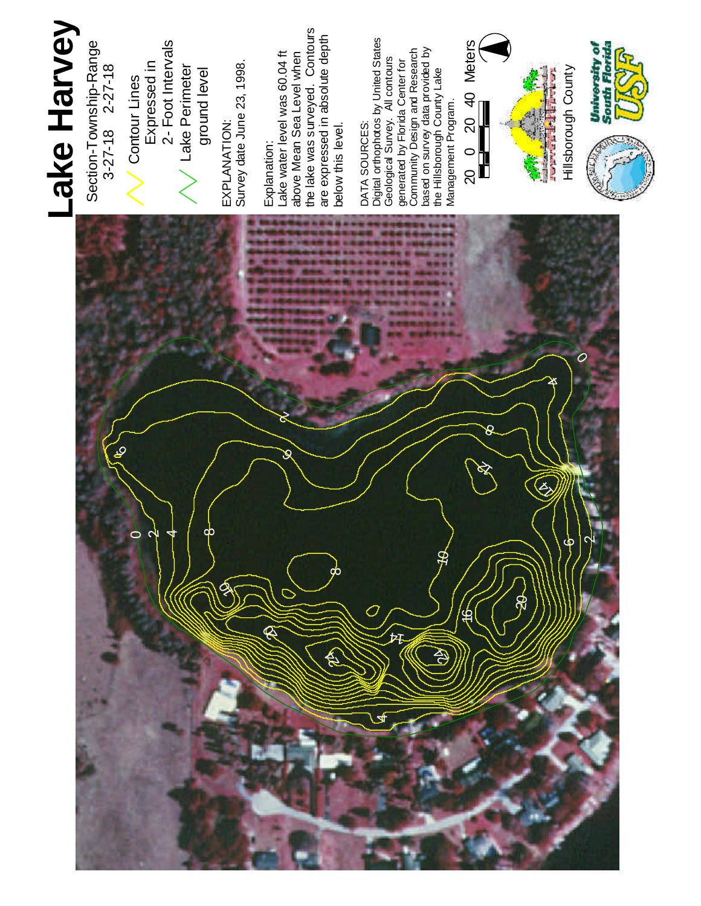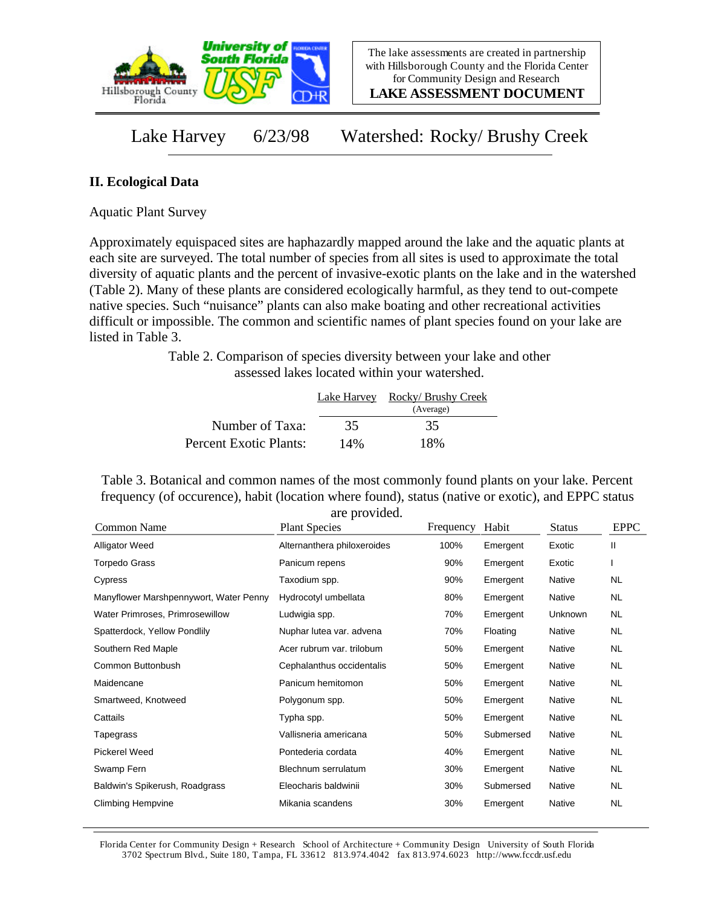

**LAKE ASSESSMENT DOCUMENT**

Lake Harvey 6/23/98 Watershed: Rocky/ Brushy Creek

## **II. Ecological Data**

Aquatic Plant Survey

Approximately equispaced sites are haphazardly mapped around the lake and the aquatic plants at each site are surveyed. The total number of species from all sites is used to approximate the total diversity of aquatic plants and the percent of invasive-exotic plants on the lake and in the watershed (Table 2). Many of these plants are considered ecologically harmful, as they tend to out-compete native species. Such "nuisance" plants can also make boating and other recreational activities difficult or impossible. The common and scientific names of plant species found on your lake are listed in Table 3.

> Table 2. Comparison of species diversity between your lake and other assessed lakes located within your watershed.

|                        | Lake Harvey | Rocky/ Brushy Creek<br>(Average) |
|------------------------|-------------|----------------------------------|
| Number of Taxa:        | 35          | 35                               |
| Percent Exotic Plants: | 14%         | 18%                              |

Table 3. Botanical and common names of the most commonly found plants on your lake. Percent frequency (of occurence), habit (location where found), status (native or exotic), and EPPC status are provided.

| Common Name                            | <b>Plant Species</b>        | Frequency | Habit     | <b>Status</b> | <b>EPPC</b> |
|----------------------------------------|-----------------------------|-----------|-----------|---------------|-------------|
| <b>Alligator Weed</b>                  | Alternanthera philoxeroides | 100%      | Emergent  | Exotic        | Ш           |
| <b>Torpedo Grass</b>                   | Panicum repens              | 90%       | Emergent  | Exotic        |             |
| Cypress                                | Taxodium spp.               | 90%       | Emergent  | Native        | <b>NL</b>   |
| Manyflower Marshpennywort, Water Penny | Hydrocotyl umbellata        | 80%       | Emergent  | Native        | <b>NL</b>   |
| Water Primroses, Primrosewillow        | Ludwigia spp.               | 70%       | Emergent  | Unknown       | NL.         |
| Spatterdock, Yellow Pondlily           | Nuphar lutea var. advena    | 70%       | Floating  | Native        | <b>NL</b>   |
| Southern Red Maple                     | Acer rubrum var. trilobum   | 50%       | Emergent  | Native        | <b>NL</b>   |
| Common Buttonbush                      | Cephalanthus occidentalis   | 50%       | Emergent  | Native        | NL.         |
| Maidencane                             | Panicum hemitomon           | 50%       | Emergent  | Native        | <b>NL</b>   |
| Smartweed, Knotweed                    | Polygonum spp.              | 50%       | Emergent  | Native        | <b>NL</b>   |
| Cattails                               | Typha spp.                  | 50%       | Emergent  | Native        | NL.         |
| Tapegrass                              | Vallisneria americana       | 50%       | Submersed | <b>Native</b> | NL.         |
| Pickerel Weed                          | Pontederia cordata          | 40%       | Emergent  | Native        | NL.         |
| Swamp Fern                             | Blechnum serrulatum         | 30%       | Emergent  | Native        | NL.         |
| Baldwin's Spikerush, Roadgrass         | Eleocharis baldwinii        | 30%       | Submersed | Native        | <b>NL</b>   |
| Climbing Hempvine                      | Mikania scandens            | 30%       | Emergent  | Native        | <b>NL</b>   |

Florida Center for Community Design + Research School of Architecture + Community Design University of South Florida 3702 Spectrum Blvd., Suite 180, Tampa, FL 33612 813.974.4042 fax 813.974.6023 http://www.fccdr.usf.edu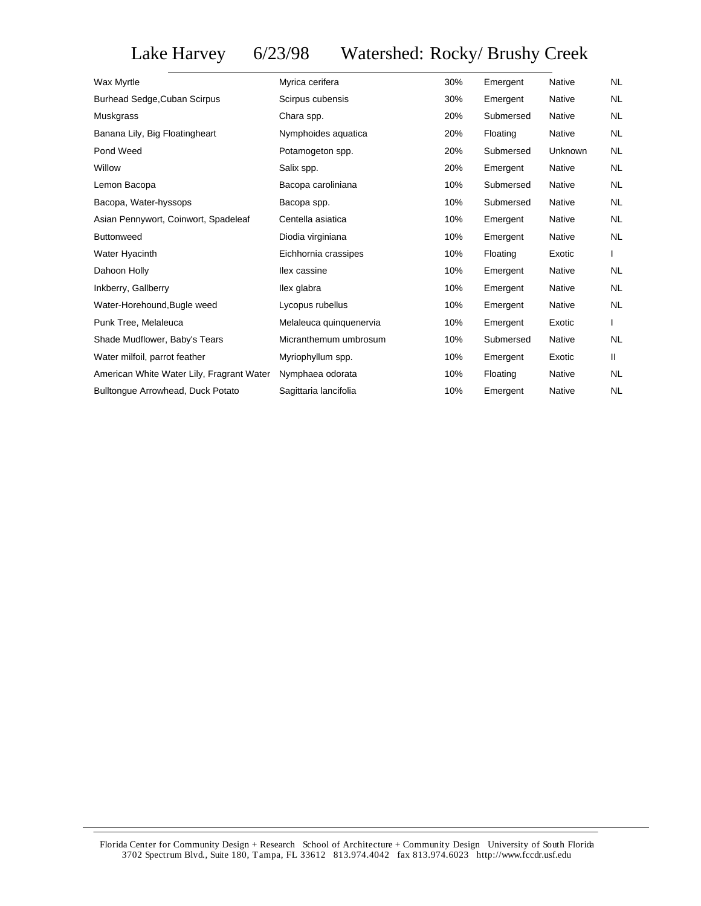Lake Harvey 6/23/98 Watershed: Rocky/ Brushy Creek

| Wax Myrtle                                | Myrica cerifera         | 30% | Emergent  | <b>Native</b> | <b>NL</b> |
|-------------------------------------------|-------------------------|-----|-----------|---------------|-----------|
| Burhead Sedge, Cuban Scirpus              | Scirpus cubensis        | 30% | Emergent  | <b>Native</b> | <b>NL</b> |
| Muskgrass                                 | Chara spp.              | 20% | Submersed | <b>Native</b> | <b>NL</b> |
| Banana Lily, Big Floatingheart            | Nymphoides aquatica     | 20% | Floating  | <b>Native</b> | <b>NL</b> |
| Pond Weed                                 | Potamogeton spp.        | 20% | Submersed | Unknown       | <b>NL</b> |
| Willow                                    | Salix spp.              | 20% | Emergent  | Native        | <b>NL</b> |
| Lemon Bacopa                              | Bacopa caroliniana      | 10% | Submersed | <b>Native</b> | <b>NL</b> |
| Bacopa, Water-hyssops                     | Bacopa spp.             | 10% | Submersed | <b>Native</b> | <b>NL</b> |
| Asian Pennywort, Coinwort, Spadeleaf      | Centella asiatica       | 10% | Emergent  | Native        | <b>NL</b> |
| <b>Buttonweed</b>                         | Diodia virginiana       | 10% | Emergent  | Native        | <b>NL</b> |
| Water Hyacinth                            | Eichhornia crassipes    | 10% | Floating  | Exotic        |           |
| Dahoon Holly                              | llex cassine            | 10% | Emergent  | Native        | <b>NL</b> |
| Inkberry, Gallberry                       | llex glabra             | 10% | Emergent  | Native        | <b>NL</b> |
| Water-Horehound, Bugle weed               | Lycopus rubellus        | 10% | Emergent  | Native        | <b>NL</b> |
| Punk Tree, Melaleuca                      | Melaleuca quinquenervia | 10% | Emergent  | Exotic        |           |
| Shade Mudflower, Baby's Tears             | Micranthemum umbrosum   | 10% | Submersed | Native        | <b>NL</b> |
| Water milfoil, parrot feather             | Myriophyllum spp.       | 10% | Emergent  | Exotic        | Ш.        |
| American White Water Lily, Fragrant Water | Nymphaea odorata        | 10% | Floating  | Native        | <b>NL</b> |
| Bulltonque Arrowhead, Duck Potato         | Sagittaria lancifolia   | 10% | Emergent  | Native        | <b>NL</b> |
|                                           |                         |     |           |               |           |

Florida Center for Community Design + Research School of Architecture + Community Design University of South Florida 3702 Spectrum Blvd., Suite 180, Tampa, FL 33612 813.974.4042 fax 813.974.6023 http://www.fccdr.usf.edu